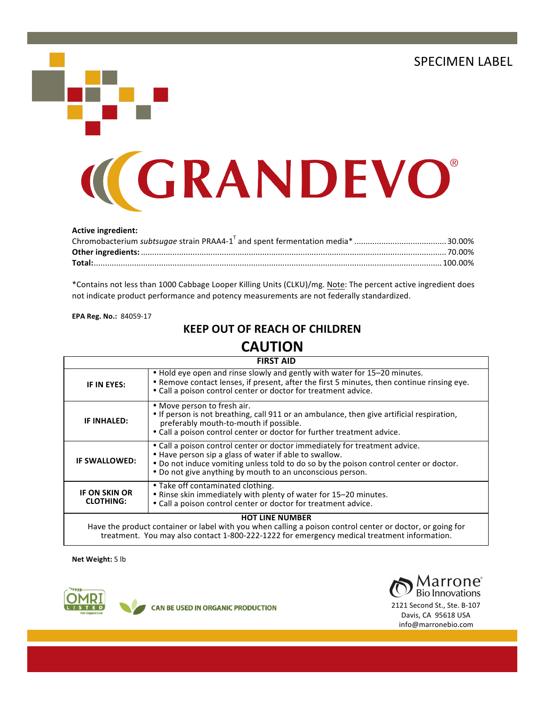**SPECIMEN LABEL** 



**ICRANDEVO®** 

#### **Active ingredient:**

\*Contains not less than 1000 Cabbage Looper Killing Units (CLKU)/mg. Note: The percent active ingredient does not indicate product performance and potency measurements are not federally standardized.

**EPA Reg. No.:** 84059-17

Г

# **KEEP OUT OF REACH OF CHILDREN CAUTION**

**FIRST AID**

| FINJI AIV                                |                                                                                                                                                                                                                                                                                            |
|------------------------------------------|--------------------------------------------------------------------------------------------------------------------------------------------------------------------------------------------------------------------------------------------------------------------------------------------|
| IF IN EYES:                              | . Hold eye open and rinse slowly and gently with water for 15-20 minutes.<br>. Remove contact lenses, if present, after the first 5 minutes, then continue rinsing eye.<br>• Call a poison control center or doctor for treatment advice.                                                  |
| <b>IF INHALED:</b>                       | • Move person to fresh air.<br>• If person is not breathing, call 911 or an ambulance, then give artificial respiration,<br>preferably mouth-to-mouth if possible.<br>. Call a poison control center or doctor for further treatment advice.                                               |
| <b>IF SWALLOWED:</b>                     | • Call a poison control center or doctor immediately for treatment advice.<br>• Have person sip a glass of water if able to swallow.<br>. Do not induce vomiting unless told to do so by the poison control center or doctor.<br>• Do not give anything by mouth to an unconscious person. |
| <b>IF ON SKIN OR</b><br><b>CLOTHING:</b> | • Take off contaminated clothing.<br>. Rinse skin immediately with plenty of water for 15-20 minutes.<br>. Call a poison control center or doctor for treatment advice.                                                                                                                    |
|                                          | <b>HOT LINE NUMBER</b><br>Have the product container or label with you when calling a poison control center or doctor, or going for<br>treatment. You may also contact 1-800-222-1222 for emergency medical treatment information.                                                         |

**Net Weight:** 5 lb



**CAN BE USED IN ORGANIC PRODUCTION** 2121 Second St., Ste. B-107



Davis, CA 95618 USA info@marronebio.com

 $\mathcal{A}$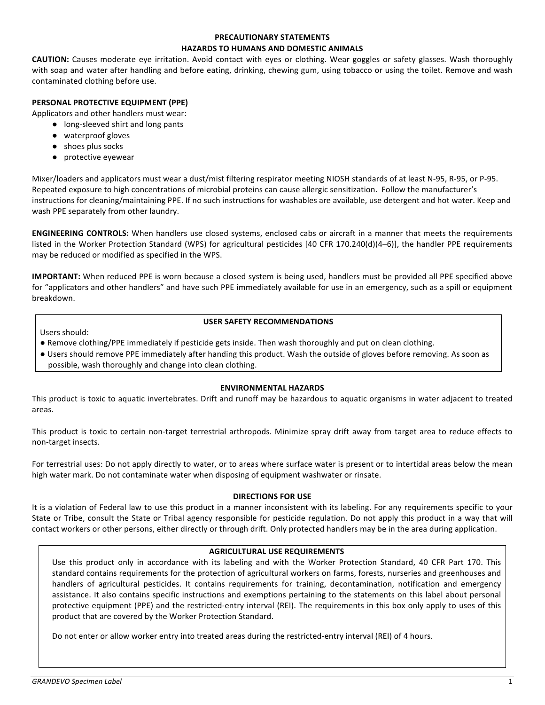#### **PRECAUTIONARY STATEMENTS**

## **HAZARDS TO HUMANS AND DOMESTIC ANIMALS**

CAUTION: Causes moderate eye irritation. Avoid contact with eyes or clothing. Wear goggles or safety glasses. Wash thoroughly with soap and water after handling and before eating, drinking, chewing gum, using tobacco or using the toilet. Remove and wash contaminated clothing before use.

## **PERSONAL PROTECTIVE EQUIPMENT (PPE)**

Applicators and other handlers must wear:

- long-sleeved shirt and long pants
- waterproof gloves
- shoes plus socks
- protective eyewear

Mixer/loaders and applicators must wear a dust/mist filtering respirator meeting NIOSH standards of at least N-95, R-95, or P-95. Repeated exposure to high concentrations of microbial proteins can cause allergic sensitization. Follow the manufacturer's instructions for cleaning/maintaining PPE. If no such instructions for washables are available, use detergent and hot water. Keep and wash PPE separately from other laundry.

**ENGINEERING CONTROLS:** When handlers use closed systems, enclosed cabs or aircraft in a manner that meets the requirements listed in the Worker Protection Standard (WPS) for agricultural pesticides [40 CFR 170.240(d)(4–6)], the handler PPE requirements may be reduced or modified as specified in the WPS.

**IMPORTANT:** When reduced PPE is worn because a closed system is being used, handlers must be provided all PPE specified above for "applicators and other handlers" and have such PPE immediately available for use in an emergency, such as a spill or equipment breakdown.

#### Users should:

## **USER SAFETY RECOMMENDATIONS**

- Remove clothing/PPE immediately if pesticide gets inside. Then wash thoroughly and put on clean clothing.
- Users should remove PPE immediately after handing this product. Wash the outside of gloves before removing. As soon as possible, wash thoroughly and change into clean clothing.

## **ENVIRONMENTAL HAZARDS**

This product is toxic to aquatic invertebrates. Drift and runoff may be hazardous to aquatic organisms in water adjacent to treated areas.

This product is toxic to certain non-target terrestrial arthropods. Minimize spray drift away from target area to reduce effects to non-target insects.

For terrestrial uses: Do not apply directly to water, or to areas where surface water is present or to intertidal areas below the mean high water mark. Do not contaminate water when disposing of equipment washwater or rinsate.

#### **DIRECTIONS FOR USE**

It is a violation of Federal law to use this product in a manner inconsistent with its labeling. For any requirements specific to your State or Tribe, consult the State or Tribal agency responsible for pesticide regulation. Do not apply this product in a way that will contact workers or other persons, either directly or through drift. Only protected handlers may be in the area during application.

#### **AGRICULTURAL USE REQUIREMENTS**

Use this product only in accordance with its labeling and with the Worker Protection Standard, 40 CFR Part 170. This standard contains requirements for the protection of agricultural workers on farms, forests, nurseries and greenhouses and handlers of agricultural pesticides. It contains requirements for training, decontamination, notification and emergency assistance. It also contains specific instructions and exemptions pertaining to the statements on this label about personal protective equipment (PPE) and the restricted-entry interval (REI). The requirements in this box only apply to uses of this product that are covered by the Worker Protection Standard.

Do not enter or allow worker entry into treated areas during the restricted-entry interval (REI) of 4 hours.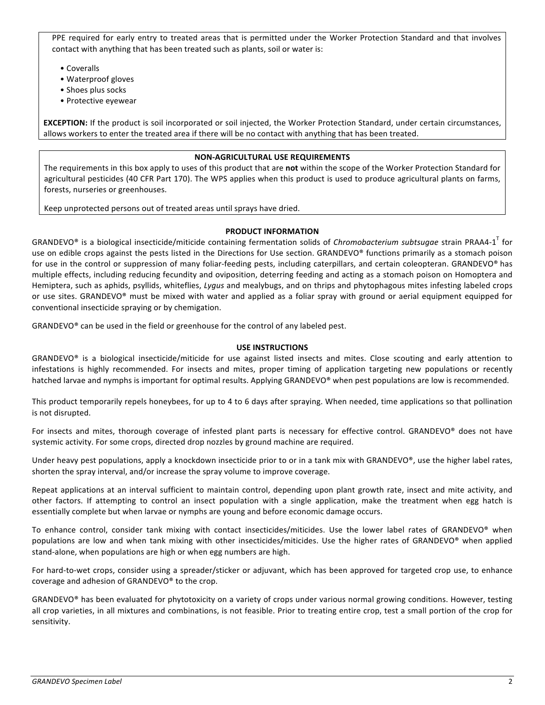PPE required for early entry to treated areas that is permitted under the Worker Protection Standard and that involves contact with anything that has been treated such as plants, soil or water is:

- • Coveralls
- Waterproof gloves
- Shoes plus socks
- Protective eyewear

**EXCEPTION:** If the product is soil incorporated or soil injected, the Worker Protection Standard, under certain circumstances, allows workers to enter the treated area if there will be no contact with anything that has been treated.

## **NON-AGRICULTURAL USE REQUIREMENTS**

The requirements in this box apply to uses of this product that are **not** within the scope of the Worker Protection Standard for agricultural pesticides (40 CFR Part 170). The WPS applies when this product is used to produce agricultural plants on farms, forests, nurseries or greenhouses.

Keep unprotected persons out of treated areas until sprays have dried.

## **PRODUCT INFORMATION**

GRANDEVO<sup>®</sup> is a biological insecticide/miticide containing fermentation solids of *Chromobacterium subtsugae* strain PRAA4-1<sup>T</sup> for use on edible crops against the pests listed in the Directions for Use section. GRANDEVO® functions primarily as a stomach poison for use in the control or suppression of many foliar-feeding pests, including caterpillars, and certain coleopteran. GRANDEVO® has multiple effects, including reducing fecundity and oviposition, deterring feeding and acting as a stomach poison on Homoptera and Hemiptera, such as aphids, psyllids, whiteflies, *Lygus* and mealybugs, and on thrips and phytophagous mites infesting labeled crops or use sites. GRANDEVO<sup>®</sup> must be mixed with water and applied as a foliar spray with ground or aerial equipment equipped for conventional insecticide spraying or by chemigation.

GRANDEVO $<sup>®</sup>$  can be used in the field or greenhouse for the control of any labeled pest.</sup>

## **USE INSTRUCTIONS**

GRANDEVO<sup>®</sup> is a biological insecticide/miticide for use against listed insects and mites. Close scouting and early attention to infestations is highly recommended. For insects and mites, proper timing of application targeting new populations or recently hatched larvae and nymphs is important for optimal results. Applying GRANDEVO® when pest populations are low is recommended.

This product temporarily repels honeybees, for up to 4 to 6 days after spraying. When needed, time applications so that pollination is not disrupted.

For insects and mites, thorough coverage of infested plant parts is necessary for effective control. GRANDEVO® does not have systemic activity. For some crops, directed drop nozzles by ground machine are required.

Under heavy pest populations, apply a knockdown insecticide prior to or in a tank mix with GRANDEVO®, use the higher label rates, shorten the spray interval, and/or increase the spray volume to improve coverage.

Repeat applications at an interval sufficient to maintain control, depending upon plant growth rate, insect and mite activity, and other factors. If attempting to control an insect population with a single application, make the treatment when egg hatch is essentially complete but when larvae or nymphs are young and before economic damage occurs.

To enhance control, consider tank mixing with contact insecticides/miticides. Use the lower label rates of GRANDEVO<sup>®</sup> when populations are low and when tank mixing with other insecticides/miticides. Use the higher rates of GRANDEVO® when applied stand-alone, when populations are high or when egg numbers are high.

For hard-to-wet crops, consider using a spreader/sticker or adjuvant, which has been approved for targeted crop use, to enhance coverage and adhesion of GRANDEVO® to the crop.

GRANDEVO<sup>®</sup> has been evaluated for phytotoxicity on a variety of crops under various normal growing conditions. However, testing all crop varieties, in all mixtures and combinations, is not feasible. Prior to treating entire crop, test a small portion of the crop for sensitivity.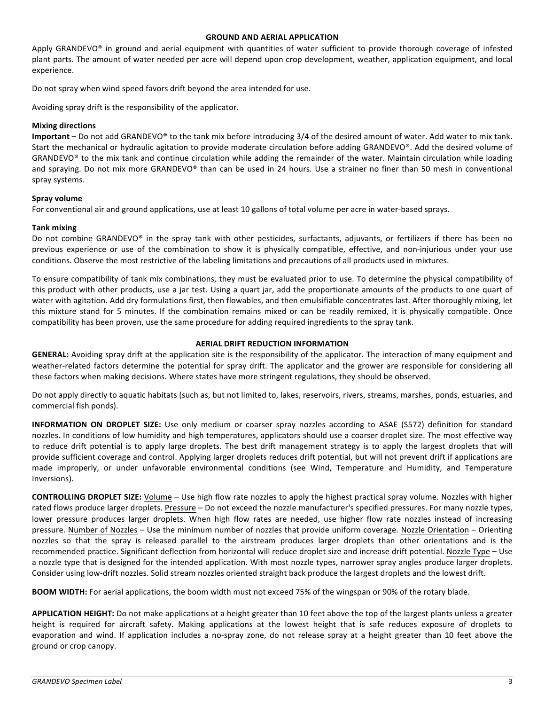#### **GROUND AND AERIAL APPLICATION**

Apply GRANDEVO® in ground and aerial equipment with quantities of water sufficient to provide thorough coverage of infested plant parts. The amount of water needed per acre will depend upon crop development, weather, application equipment, and local experience.

Do not spray when wind speed favors drift beyond the area intended for use.

Avoiding spray drift is the responsibility of the applicator.

## **Mixing directions**

**Important** – Do not add GRANDEVO® to the tank mix before introducing 3/4 of the desired amount of water. Add water to mix tank. Start the mechanical or hydraulic agitation to provide moderate circulation before adding GRANDEVO®. Add the desired volume of GRANDEVO<sup>®</sup> to the mix tank and continue circulation while adding the remainder of the water. Maintain circulation while loading and spraying. Do not mix more GRANDEVO® than can be used in 24 hours. Use a strainer no finer than 50 mesh in conventional spray systems.

## **Spray volume**

For conventional air and ground applications, use at least 10 gallons of total volume per acre in water-based sprays.

## **Tank mixing**

Do not combine GRANDEVO® in the spray tank with other pesticides, surfactants, adjuvants, or fertilizers if there has been no previous experience or use of the combination to show it is physically compatible, effective, and non-injurious under your use conditions. Observe the most restrictive of the labeling limitations and precautions of all products used in mixtures.

To ensure compatibility of tank mix combinations, they must be evaluated prior to use. To determine the physical compatibility of this product with other products, use a jar test. Using a quart jar, add the proportionate amounts of the products to one quart of water with agitation. Add dry formulations first, then flowables, and then emulsifiable concentrates last. After thoroughly mixing, let this mixture stand for 5 minutes. If the combination remains mixed or can be readily remixed, it is physically compatible. Once compatibility has been proven, use the same procedure for adding required ingredients to the spray tank.

## **AERIAL DRIFT REDUCTION INFORMATION**

**GENERAL:** Avoiding spray drift at the application site is the responsibility of the applicator. The interaction of many equipment and weather-related factors determine the potential for spray drift. The applicator and the grower are responsible for considering all these factors when making decisions. Where states have more stringent regulations, they should be observed.

Do not apply directly to aquatic habitats (such as, but not limited to, lakes, reservoirs, rivers, streams, marshes, ponds, estuaries, and commercial fish ponds).

**INFORMATION ON DROPLET SIZE:** Use only medium or coarser spray nozzles according to ASAE (S572) definition for standard nozzles. In conditions of low humidity and high temperatures, applicators should use a coarser droplet size. The most effective way to reduce drift potential is to apply large droplets. The best drift management strategy is to apply the largest droplets that will provide sufficient coverage and control. Applying larger droplets reduces drift potential, but will not prevent drift if applications are made improperly, or under unfavorable environmental conditions (see Wind, Temperature and Humidity, and Temperature Inversions).

**CONTROLLING DROPLET SIZE:** Volume – Use high flow rate nozzles to apply the highest practical spray volume. Nozzles with higher rated flows produce larger droplets. Pressure – Do not exceed the nozzle manufacturer's specified pressures. For many nozzle types, lower pressure produces larger droplets. When high flow rates are needed, use higher flow rate nozzles instead of increasing pressure. Number of Nozzles – Use the minimum number of nozzles that provide uniform coverage. Nozzle Orientation – Orienting nozzles so that the spray is released parallel to the airstream produces larger droplets than other orientations and is the recommended practice. Significant deflection from horizontal will reduce droplet size and increase drift potential. Nozzle Type – Use a nozzle type that is designed for the intended application. With most nozzle types, narrower spray angles produce larger droplets. Consider using low-drift nozzles. Solid stream nozzles oriented straight back produce the largest droplets and the lowest drift.

**BOOM WIDTH:** For aerial applications, the boom width must not exceed 75% of the wingspan or 90% of the rotary blade.

**APPLICATION HEIGHT:** Do not make applications at a height greater than 10 feet above the top of the largest plants unless a greater height is required for aircraft safety. Making applications at the lowest height that is safe reduces exposure of droplets to evaporation and wind. If application includes a no-spray zone, do not release spray at a height greater than 10 feet above the ground or crop canopy.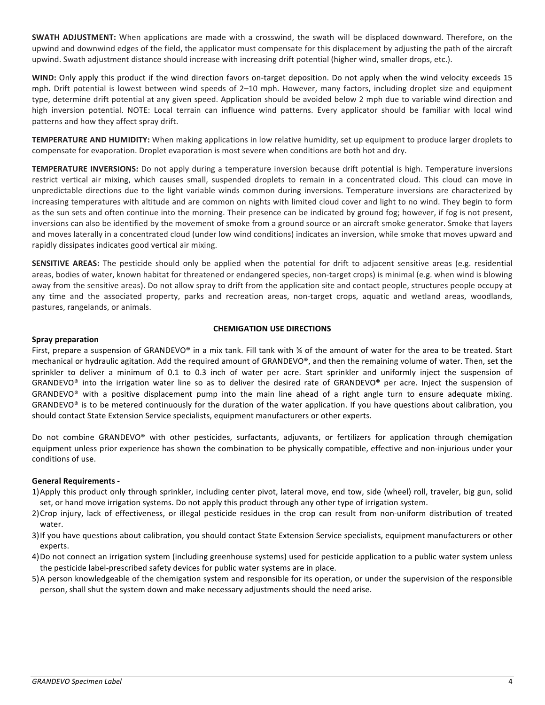**SWATH ADJUSTMENT:** When applications are made with a crosswind, the swath will be displaced downward. Therefore, on the upwind and downwind edges of the field, the applicator must compensate for this displacement by adjusting the path of the aircraft upwind. Swath adjustment distance should increase with increasing drift potential (higher wind, smaller drops, etc.).

WIND: Only apply this product if the wind direction favors on-target deposition. Do not apply when the wind velocity exceeds 15 mph. Drift potential is lowest between wind speeds of 2–10 mph. However, many factors, including droplet size and equipment type, determine drift potential at any given speed. Application should be avoided below 2 mph due to variable wind direction and high inversion potential. NOTE: Local terrain can influence wind patterns. Every applicator should be familiar with local wind patterns and how they affect spray drift.

TEMPERATURE AND HUMIDITY: When making applications in low relative humidity, set up equipment to produce larger droplets to compensate for evaporation. Droplet evaporation is most severe when conditions are both hot and dry.

**TEMPERATURE INVERSIONS:** Do not apply during a temperature inversion because drift potential is high. Temperature inversions restrict vertical air mixing, which causes small, suspended droplets to remain in a concentrated cloud. This cloud can move in unpredictable directions due to the light variable winds common during inversions. Temperature inversions are characterized by increasing temperatures with altitude and are common on nights with limited cloud cover and light to no wind. They begin to form as the sun sets and often continue into the morning. Their presence can be indicated by ground fog; however, if fog is not present, inversions can also be identified by the movement of smoke from a ground source or an aircraft smoke generator. Smoke that layers and moves laterally in a concentrated cloud (under low wind conditions) indicates an inversion, while smoke that moves upward and rapidly dissipates indicates good vertical air mixing.

**SENSITIVE AREAS:** The pesticide should only be applied when the potential for drift to adjacent sensitive areas (e.g. residential areas, bodies of water, known habitat for threatened or endangered species, non-target crops) is minimal (e.g. when wind is blowing away from the sensitive areas). Do not allow spray to drift from the application site and contact people, structures people occupy at any time and the associated property, parks and recreation areas, non-target crops, aquatic and wetland areas, woodlands, pastures, rangelands, or animals.

## **CHEMIGATION USE DIRECTIONS**

## **Spray preparation**

First, prepare a suspension of GRANDEVO® in a mix tank. Fill tank with  $\frac{3}{4}$  of the amount of water for the area to be treated. Start mechanical or hydraulic agitation. Add the required amount of GRANDEVO®, and then the remaining volume of water. Then, set the sprinkler to deliver a minimum of 0.1 to 0.3 inch of water per acre. Start sprinkler and uniformly inject the suspension of GRANDEVO<sup>®</sup> into the irrigation water line so as to deliver the desired rate of GRANDEVO<sup>®</sup> per acre. Inject the suspension of GRANDEVO<sup>®</sup> with a positive displacement pump into the main line ahead of a right angle turn to ensure adequate mixing. GRANDEVO<sup>®</sup> is to be metered continuously for the duration of the water application. If you have questions about calibration, you should contact State Extension Service specialists, equipment manufacturers or other experts.

Do not combine GRANDEVO<sup>®</sup> with other pesticides, surfactants, adjuvants, or fertilizers for application through chemigation equipment unless prior experience has shown the combination to be physically compatible, effective and non-injurious under your conditions of use.

#### **General Requirements -**

- 1) Apply this product only through sprinkler, including center pivot, lateral move, end tow, side (wheel) roll, traveler, big gun, solid set, or hand move irrigation systems. Do not apply this product through any other type of irrigation system.
- 2) Crop injury, lack of effectiveness, or illegal pesticide residues in the crop can result from non-uniform distribution of treated water.
- 3) If you have questions about calibration, you should contact State Extension Service specialists, equipment manufacturers or other experts.
- 4)Do not connect an irrigation system (including greenhouse systems) used for pesticide application to a public water system unless the pesticide label-prescribed safety devices for public water systems are in place.
- 5)A person knowledgeable of the chemigation system and responsible for its operation, or under the supervision of the responsible person, shall shut the system down and make necessary adjustments should the need arise.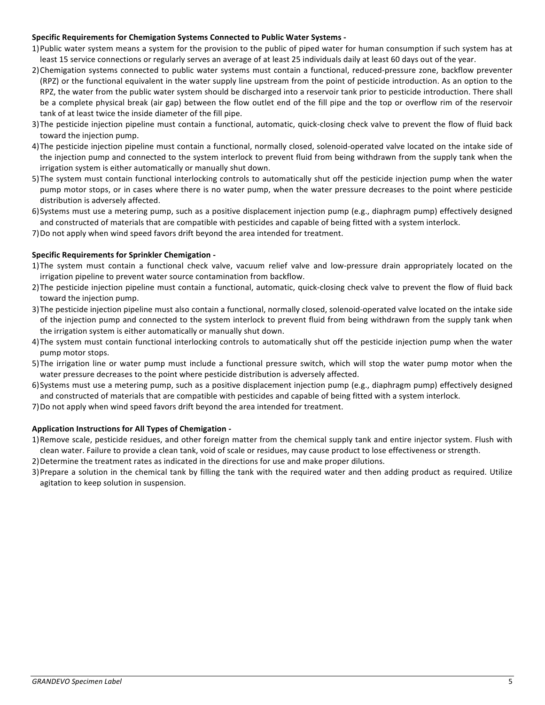## **Specific Requirements for Chemigation Systems Connected to Public Water Systems -**

- 1)Public water system means a system for the provision to the public of piped water for human consumption if such system has at least 15 service connections or regularly serves an average of at least 25 individuals daily at least 60 days out of the year.
- 2) Chemigation systems connected to public water systems must contain a functional, reduced-pressure zone, backflow preventer (RPZ) or the functional equivalent in the water supply line upstream from the point of pesticide introduction. As an option to the RPZ, the water from the public water system should be discharged into a reservoir tank prior to pesticide introduction. There shall be a complete physical break (air gap) between the flow outlet end of the fill pipe and the top or overflow rim of the reservoir tank of at least twice the inside diameter of the fill pipe.
- 3) The pesticide injection pipeline must contain a functional, automatic, quick-closing check valve to prevent the flow of fluid back toward the injection pump.
- 4) The pesticide injection pipeline must contain a functional, normally closed, solenoid-operated valve located on the intake side of the injection pump and connected to the system interlock to prevent fluid from being withdrawn from the supply tank when the irrigation system is either automatically or manually shut down.
- 5) The system must contain functional interlocking controls to automatically shut off the pesticide injection pump when the water pump motor stops, or in cases where there is no water pump, when the water pressure decreases to the point where pesticide distribution is adversely affected.
- 6)Systems must use a metering pump, such as a positive displacement injection pump (e.g., diaphragm pump) effectively designed and constructed of materials that are compatible with pesticides and capable of being fitted with a system interlock.
- 7) Do not apply when wind speed favors drift beyond the area intended for treatment.

## **Specific Requirements for Sprinkler Chemigation -**

- 1) The system must contain a functional check valve, vacuum relief valve and low-pressure drain appropriately located on the irrigation pipeline to prevent water source contamination from backflow.
- 2) The pesticide injection pipeline must contain a functional, automatic, quick-closing check valve to prevent the flow of fluid back toward the injection pump.
- 3) The pesticide injection pipeline must also contain a functional, normally closed, solenoid-operated valve located on the intake side of the injection pump and connected to the system interlock to prevent fluid from being withdrawn from the supply tank when the irrigation system is either automatically or manually shut down.
- 4) The system must contain functional interlocking controls to automatically shut off the pesticide injection pump when the water pump motor stops.
- 5)The irrigation line or water pump must include a functional pressure switch, which will stop the water pump motor when the water pressure decreases to the point where pesticide distribution is adversely affected.
- 6)Systems must use a metering pump, such as a positive displacement injection pump (e.g., diaphragm pump) effectively designed and constructed of materials that are compatible with pesticides and capable of being fitted with a system interlock.
- 7) Do not apply when wind speed favors drift beyond the area intended for treatment.

## Application Instructions for All Types of Chemigation -

- 1) Remove scale, pesticide residues, and other foreign matter from the chemical supply tank and entire injector system. Flush with clean water. Failure to provide a clean tank, void of scale or residues, may cause product to lose effectiveness or strength.
- 2) Determine the treatment rates as indicated in the directions for use and make proper dilutions.
- 3) Prepare a solution in the chemical tank by filling the tank with the required water and then adding product as required. Utilize agitation to keep solution in suspension.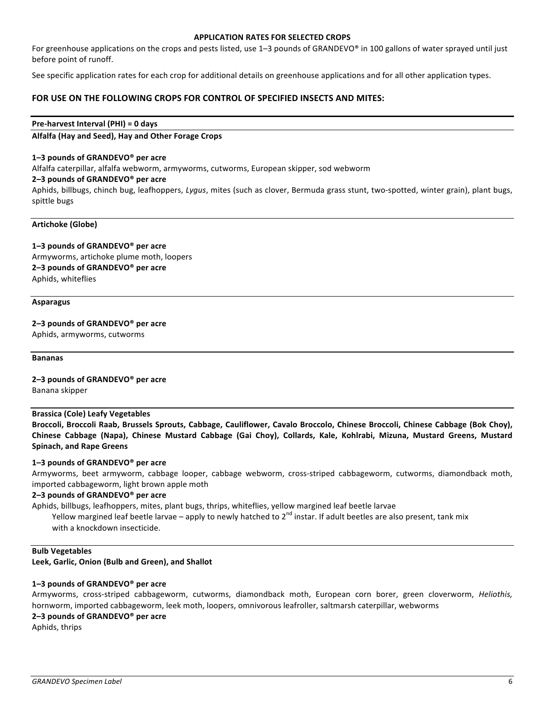#### **APPLICATION RATES FOR SELECTED CROPS**

For greenhouse applications on the crops and pests listed, use  $1-3$  pounds of GRANDEVO® in 100 gallons of water sprayed until just before point of runoff.

See specific application rates for each crop for additional details on greenhouse applications and for all other application types.

## **FOR USE ON THE FOLLOWING CROPS FOR CONTROL OF SPECIFIED INSECTS AND MITES:**

#### **Pre-harvest Interval (PHI) = 0 days**

#### Alfalfa (Hay and Seed), Hay and Other Forage Crops

#### **1–3 pounds of GRANDEVO® per acre**

Alfalfa caterpillar, alfalfa webworm, armyworms, cutworms, European skipper, sod webworm

#### **2–3 pounds of GRANDEVO® per acre**

Aphids, billbugs, chinch bug, leafhoppers, *Lygus*, mites (such as clover, Bermuda grass stunt, two-spotted, winter grain), plant bugs, spittle bugs

#### **Artichoke (Globe)**

# 1-3 pounds of GRANDEVO<sup>®</sup> per acre

Armyworms, artichoke plume moth, loopers **2–3 pounds of GRANDEVO® per acre** Aphids, whiteflies

#### **Asparagus**

## **2–3 pounds of GRANDEVO® per acre**

Aphids, armyworms, cutworms

#### **Bananas**

**2–3 pounds of GRANDEVO® per acre** 

Banana skipper

#### **Brassica (Cole) Leafy Vegetables**

Broccoli, Broccoli Raab, Brussels Sprouts, Cabbage, Cauliflower, Cavalo Broccolo, Chinese Broccoli, Chinese Cabbage (Bok Choy), Chinese Cabbage (Napa), Chinese Mustard Cabbage (Gai Choy), Collards, Kale, Kohlrabi, Mizuna, Mustard Greens, Mustard **Spinach, and Rape Greens** 

#### 1–3 pounds of GRANDEVO<sup>®</sup> per acre

Armyworms, beet armyworm, cabbage looper, cabbage webworm, cross-striped cabbageworm, cutworms, diamondback moth, imported cabbageworm, light brown apple moth

#### **2–3 pounds of GRANDEVO® per acre**

Aphids, billbugs, leafhoppers, mites, plant bugs, thrips, whiteflies, yellow margined leaf beetle larvae

Yellow margined leaf beetle larvae – apply to newly hatched to  $2^{nd}$  instar. If adult beetles are also present, tank mix with a knockdown insecticide.

#### **Bulb Vegetables**

Leek, Garlic, Onion (Bulb and Green), and Shallot

#### **1–3 pounds of GRANDEVO® per acre**

Armyworms, cross-striped cabbageworm, cutworms, diamondback moth, European corn borer, green cloverworm, *Heliothis,* hornworm, imported cabbageworm, leek moth, loopers, omnivorous leafroller, saltmarsh caterpillar, webworms

### **2–3 pounds of GRANDEVO® per acre**

Aphids, thrips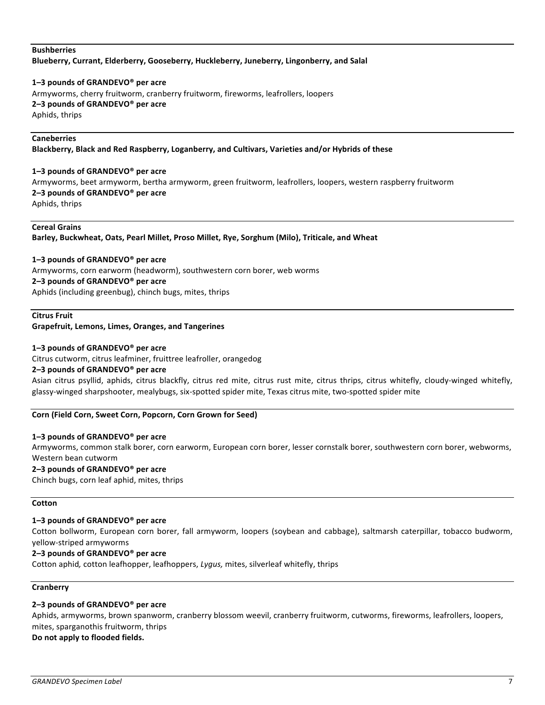# **Bushberries**  Blueberry, Currant, Elderberry, Gooseberry, Huckleberry, Juneberry, Lingonberry, and Salal

1-3 pounds of GRANDEVO<sup>®</sup> per acre Armyworms, cherry fruitworm, cranberry fruitworm, fireworms, leafrollers, loopers **2–3 pounds of GRANDEVO® per acre** Aphids, thrips

## **Caneberries**

Blackberry, Black and Red Raspberry, Loganberry, and Cultivars, Varieties and/or Hybrids of these

## **1–3 pounds of GRANDEVO® per acre**

Armyworms, beet armyworm, bertha armyworm, green fruitworm, leafrollers, loopers, western raspberry fruitworm **2–3 pounds of GRANDEVO® per acre** Aphids, thrips

#### **Cereal Grains**

Barley, Buckwheat, Oats, Pearl Millet, Proso Millet, Rye, Sorghum (Milo), Triticale, and Wheat

## 1-3 pounds of GRANDEVO<sup>®</sup> per acre

Armyworms, corn earworm (headworm), southwestern corn borer, web worms

#### **2–3 pounds of GRANDEVO® per acre**

Aphids (including greenbug), chinch bugs, mites, thrips

## **Citrus Fruit**

**Grapefruit, Lemons, Limes, Oranges, and Tangerines**

#### 1-3 pounds of GRANDEVO<sup>®</sup> per acre

Citrus cutworm, citrus leafminer, fruittree leafroller, orangedog

## **2–3 pounds of GRANDEVO® per acre**

Asian citrus psyllid, aphids, citrus blackfly, citrus red mite, citrus rust mite, citrus thrips, citrus whitefly, cloudy-winged whitefly, glassy-winged sharpshooter, mealybugs, six-spotted spider mite, Texas citrus mite, two-spotted spider mite

#### Corn (Field Corn, Sweet Corn, Popcorn, Corn Grown for Seed)

#### 1–3 pounds of GRANDEVO<sup>®</sup> per acre

Armyworms, common stalk borer, corn earworm, European corn borer, lesser cornstalk borer, southwestern corn borer, webworms, Western bean cutworm **2–3 pounds of GRANDEVO® per acre**

Chinch bugs, corn leaf aphid, mites, thrips

#### **Cotton**

#### 1–3 pounds of GRANDEVO<sup>®</sup> per acre

Cotton bollworm, European corn borer, fall armyworm, loopers (soybean and cabbage), saltmarsh caterpillar, tobacco budworm, yellow-striped armyworms

#### **2–3 pounds of GRANDEVO® per acre**

Cotton aphid, cotton leafhopper, leafhoppers, *Lygus*, mites, silverleaf whitefly, thrips

#### **Cranberry**

#### **2–3 pounds of GRANDEVO® per acre**

Aphids, armyworms, brown spanworm, cranberry blossom weevil, cranberry fruitworm, cutworms, fireworms, leafrollers, loopers, mites, sparganothis fruitworm, thrips

# Do not apply to flooded fields.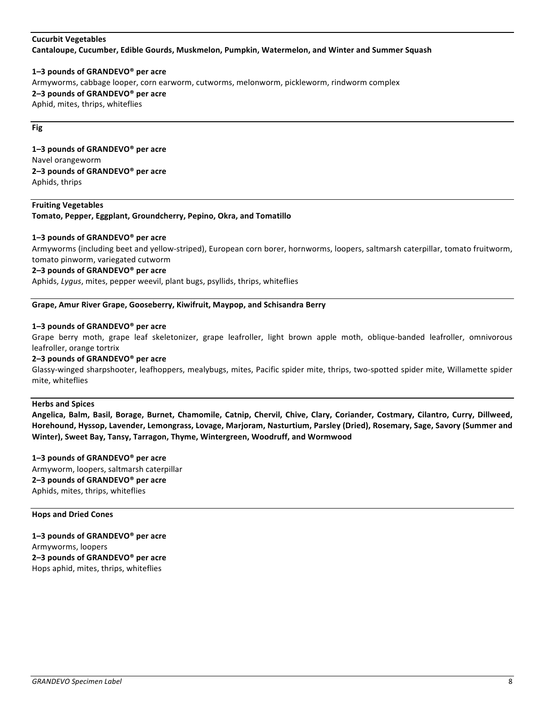# **Cucurbit Vegetables** Cantaloupe, Cucumber, Edible Gourds, Muskmelon, Pumpkin, Watermelon, and Winter and Summer Squash

## 1–3 pounds of GRANDEVO<sup>®</sup> per acre Armyworms, cabbage looper, corn earworm, cutworms, melonworm, pickleworm, rindworm complex **2–3 pounds of GRANDEVO® per acre** Aphid, mites, thrips, whiteflies

## **Fig**

1–3 pounds of GRANDEVO<sup>®</sup> per acre Navel orangeworm **2–3 pounds of GRANDEVO® per acre** Aphids, thrips

## **Fruiting Vegetables**

Tomato, Pepper, Eggplant, Groundcherry, Pepino, Okra, and Tomatillo

# 1-3 pounds of GRANDEVO<sup>®</sup> per acre

Armyworms (including beet and yellow-striped), European corn borer, hornworms, loopers, saltmarsh caterpillar, tomato fruitworm, tomato pinworm, variegated cutworm

## **2–3 pounds of GRANDEVO® per acre**

Aphids, Lygus, mites, pepper weevil, plant bugs, psyllids, thrips, whiteflies

## Grape, Amur River Grape, Gooseberry, Kiwifruit, Maypop, and Schisandra Berry

## 1–3 pounds of GRANDEVO<sup>®</sup> per acre

Grape berry moth, grape leaf skeletonizer, grape leafroller, light brown apple moth, oblique-banded leafroller, omnivorous leafroller, orange tortrix

## **2–3 pounds of GRANDEVO® per acre**

Glassy-winged sharpshooter, leafhoppers, mealybugs, mites, Pacific spider mite, thrips, two-spotted spider mite, Willamette spider mite, whiteflies

#### **Herbs and Spices**

Angelica, Balm, Basil, Borage, Burnet, Chamomile, Catnip, Chervil, Chive, Clary, Coriander, Costmary, Cilantro, Curry, Dillweed, Horehound, Hyssop, Lavender, Lemongrass, Lovage, Marjoram, Nasturtium, Parsley (Dried), Rosemary, Sage, Savory (Summer and Winter), Sweet Bay, Tansy, Tarragon, Thyme, Wintergreen, Woodruff, and Wormwood

1–3 pounds of GRANDEVO<sup>®</sup> per acre Armyworm, loopers, saltmarsh caterpillar **2–3 pounds of GRANDEVO® per acre** Aphids, mites, thrips, whiteflies

#### **Hops and Dried Cones**

1-3 pounds of GRANDEVO<sup>®</sup> per acre Armyworms, loopers **2–3 pounds of GRANDEVO® per acre** Hops aphid, mites, thrips, whiteflies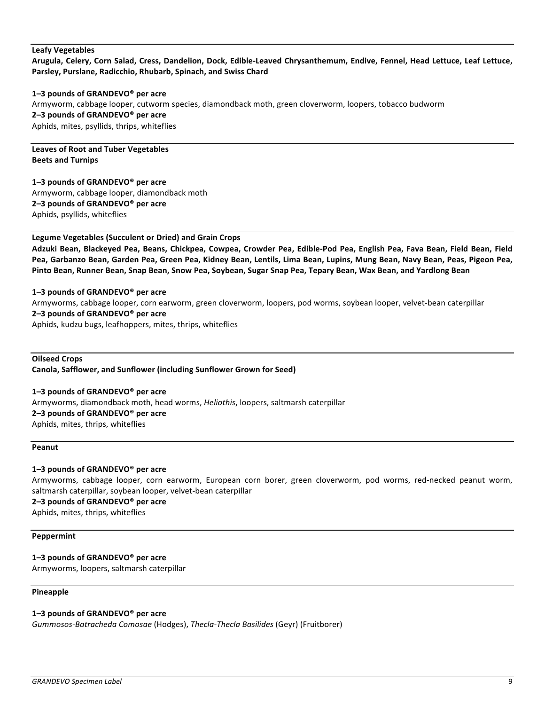#### **Leafy Vegetables**

# Arugula, Celery, Corn Salad, Cress, Dandelion, Dock, Edible-Leaved Chrysanthemum, Endive, Fennel, Head Lettuce, Leaf Lettuce, Parsley, Purslane, Radicchio, Rhubarb, Spinach, and Swiss Chard

1-3 pounds of GRANDEVO<sup>®</sup> per acre Armyworm, cabbage looper, cutworm species, diamondback moth, green cloverworm, loopers, tobacco budworm **2–3 pounds of GRANDEVO® per acre** Aphids, mites, psyllids, thrips, whiteflies

Leaves of Root and Tuber Vegetables **Beets and Turnips**

1-3 pounds of GRANDEVO<sup>®</sup> per acre Armyworm, cabbage looper, diamondback moth **2–3 pounds of GRANDEVO® per acre** Aphids, psyllids, whiteflies

Legume Vegetables (Succulent or Dried) and Grain Crops

Adzuki Bean, Blackeyed Pea, Beans, Chickpea, Cowpea, Crowder Pea, Edible-Pod Pea, English Pea, Fava Bean, Field Bean, Field Pea, Garbanzo Bean, Garden Pea, Green Pea, Kidney Bean, Lentils, Lima Bean, Lupins, Mung Bean, Navy Bean, Peas, Pigeon Pea, Pinto Bean, Runner Bean, Snap Bean, Snow Pea, Soybean, Sugar Snap Pea, Tepary Bean, Wax Bean, and Yardlong Bean

1-3 pounds of GRANDEVO<sup>®</sup> per acre Armyworms, cabbage looper, corn earworm, green cloverworm, loopers, pod worms, soybean looper, velvet-bean caterpillar **2–3 pounds of GRANDEVO® per acre** Aphids, kudzu bugs, leafhoppers, mites, thrips, whiteflies

**Oilseed Crops Canola, Safflower, and Sunflower (including Sunflower Grown for Seed)**

1-3 pounds of GRANDEVO<sup>®</sup> per acre Armyworms, diamondback moth, head worms, *Heliothis*, loopers, saltmarsh caterpillar **2–3 pounds of GRANDEVO® per acre** Aphids, mites, thrips, whiteflies

#### **Peanut**

1-3 pounds of GRANDEVO<sup>®</sup> per acre

Armyworms, cabbage looper, corn earworm, European corn borer, green cloverworm, pod worms, red-necked peanut worm, saltmarsh caterpillar, soybean looper, velvet-bean caterpillar

#### **2–3 pounds of GRANDEVO® per acre**

Aphids, mites, thrips, whiteflies

## **Peppermint**

## 1-3 pounds of GRANDEVO<sup>®</sup> per acre

Armyworms, loopers, saltmarsh caterpillar

#### **Pineapple**

#### 1-3 pounds of GRANDEVO<sup>®</sup> per acre

*Gummosos-Batracheda Comosae* (Hodges), *Thecla-Thecla Basilides* (Geyr) (Fruitborer)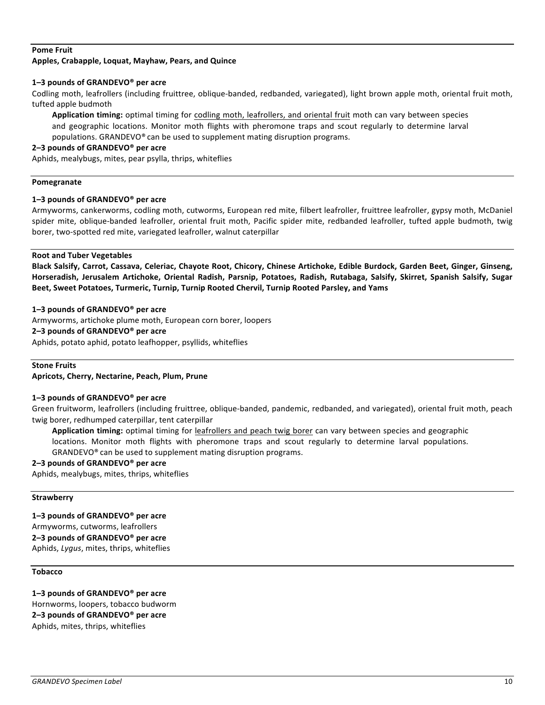## **Pome Fruit** Apples, Crabapple, Loquat, Mayhaw, Pears, and Quince

## 1-3 pounds of GRANDEVO<sup>®</sup> per acre

Codling moth, leafrollers (including fruittree, oblique-banded, redbanded, variegated), light brown apple moth, oriental fruit moth, tufted apple budmoth

**Application timing:** optimal timing for codling moth, leafrollers, and oriental fruit moth can vary between species and geographic locations. Monitor moth flights with pheromone traps and scout regularly to determine larval populations. GRANDEVO<sup>®</sup> can be used to supplement mating disruption programs.

### **2–3 pounds of GRANDEVO® per acre**

Aphids, mealybugs, mites, pear psylla, thrips, whiteflies

#### **Pomegranate**

#### **1–3 pounds of GRANDEVO® per acre**

Armyworms, cankerworms, codling moth, cutworms, European red mite, filbert leafroller, fruittree leafroller, gypsy moth, McDaniel spider mite, oblique-banded leafroller, oriental fruit moth, Pacific spider mite, redbanded leafroller, tufted apple budmoth, twig borer, two-spotted red mite, variegated leafroller, walnut caterpillar

#### **Root and Tuber Vegetables**

Black Salsify, Carrot, Cassava, Celeriac, Chayote Root, Chicory, Chinese Artichoke, Edible Burdock, Garden Beet, Ginger, Ginseng, Horseradish, Jerusalem Artichoke, Oriental Radish, Parsnip, Potatoes, Radish, Rutabaga, Salsify, Skirret, Spanish Salsify, Sugar Beet, Sweet Potatoes, Turmeric, Turnip, Turnip Rooted Chervil, Turnip Rooted Parsley, and Yams

1-3 pounds of GRANDEVO<sup>®</sup> per acre Armyworms, artichoke plume moth, European corn borer, loopers **2–3 pounds of GRANDEVO® per acre** Aphids, potato aphid, potato leafhopper, psyllids, whiteflies

#### **Stone Fruits**

Apricots, Cherry, Nectarine, Peach, Plum, Prune

#### 1-3 pounds of GRANDEVO<sup>®</sup> per acre

Green fruitworm, leafrollers (including fruittree, oblique-banded, pandemic, redbanded, and variegated), oriental fruit moth, peach twig borer, redhumped caterpillar, tent caterpillar

Application timing: optimal timing for leafrollers and peach twig borer can vary between species and geographic locations. Monitor moth flights with pheromone traps and scout regularly to determine larval populations. GRANDEVO<sup>®</sup> can be used to supplement mating disruption programs.

#### **2–3 pounds of GRANDEVO® per acre**

Aphids, mealybugs, mites, thrips, whiteflies

#### **Strawberry**

1-3 pounds of GRANDEVO<sup>®</sup> per acre Armyworms, cutworms, leafrollers **2–3 pounds of GRANDEVO® per acre** Aphids, Lygus, mites, thrips, whiteflies

## **Tobacco**

1-3 pounds of GRANDEVO<sup>®</sup> per acre Hornworms, loopers, tobacco budworm **2–3 pounds of GRANDEVO® per acre** Aphids, mites, thrips, whiteflies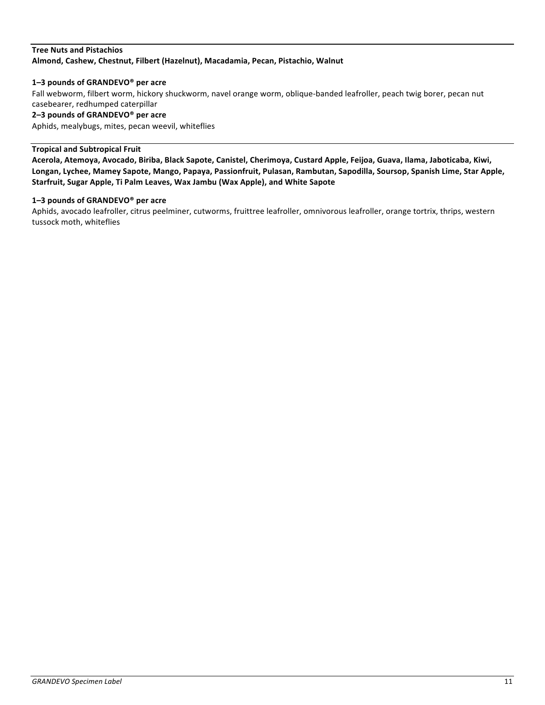# **Tree Nuts and Pistachios** Almond, Cashew, Chestnut, Filbert (Hazelnut), Macadamia, Pecan, Pistachio, Walnut

## 1-3 pounds of GRANDEVO<sup>®</sup> per acre

Fall webworm, filbert worm, hickory shuckworm, navel orange worm, oblique-banded leafroller, peach twig borer, pecan nut casebearer, redhumped caterpillar

## **2–3 pounds of GRANDEVO® per acre**

Aphids, mealybugs, mites, pecan weevil, whiteflies

## **Tropical and Subtropical Fruit**

Acerola, Atemoya, Avocado, Biriba, Black Sapote, Canistel, Cherimoya, Custard Apple, Feijoa, Guava, Ilama, Jaboticaba, Kiwi, Longan, Lychee, Mamey Sapote, Mango, Papaya, Passionfruit, Pulasan, Rambutan, Sapodilla, Soursop, Spanish Lime, Star Apple, **Starfruit, Sugar Apple, Ti Palm Leaves, Wax Jambu (Wax Apple), and White Sapote** 

## 1-3 pounds of GRANDEVO<sup>®</sup> per acre

Aphids, avocado leafroller, citrus peelminer, cutworms, fruittree leafroller, omnivorous leafroller, orange tortrix, thrips, western tussock moth, whiteflies